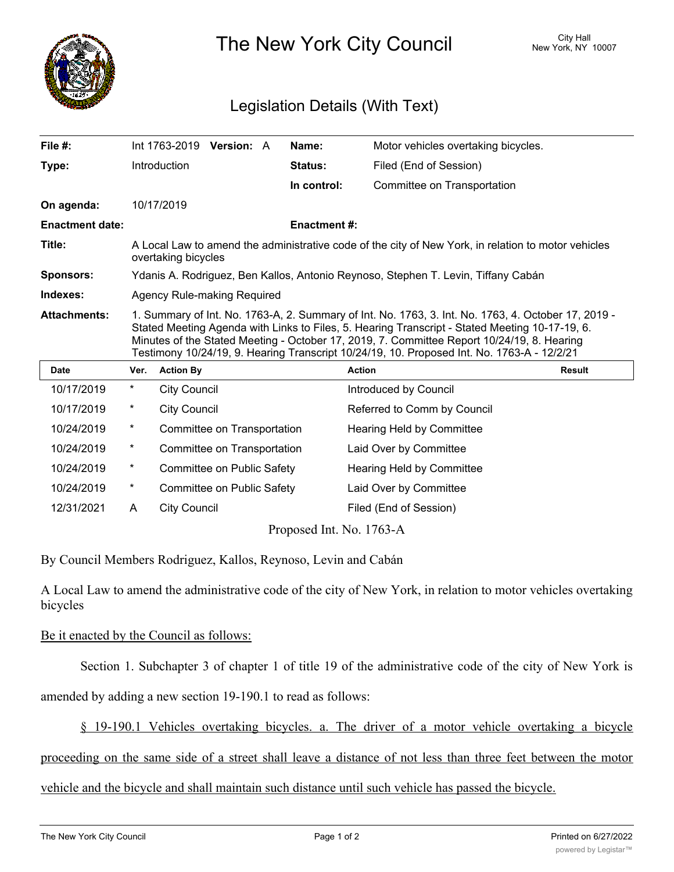

The New York City Council New York, NY 10007

## Legislation Details (With Text)

| File $#$ :             |                                                                                                                                                                                                                                                                                                                                                                                                   |                     | Int 1763-2019 Version: A    |  | Name:          | Motor vehicles overtaking bicycles. |               |
|------------------------|---------------------------------------------------------------------------------------------------------------------------------------------------------------------------------------------------------------------------------------------------------------------------------------------------------------------------------------------------------------------------------------------------|---------------------|-----------------------------|--|----------------|-------------------------------------|---------------|
| Type:                  |                                                                                                                                                                                                                                                                                                                                                                                                   | Introduction        |                             |  | <b>Status:</b> | Filed (End of Session)              |               |
|                        |                                                                                                                                                                                                                                                                                                                                                                                                   |                     |                             |  | In control:    | Committee on Transportation         |               |
| On agenda:             |                                                                                                                                                                                                                                                                                                                                                                                                   | 10/17/2019          |                             |  |                |                                     |               |
| <b>Enactment date:</b> | <b>Enactment #:</b>                                                                                                                                                                                                                                                                                                                                                                               |                     |                             |  |                |                                     |               |
| Title:                 | A Local Law to amend the administrative code of the city of New York, in relation to motor vehicles<br>overtaking bicycles                                                                                                                                                                                                                                                                        |                     |                             |  |                |                                     |               |
| <b>Sponsors:</b>       | Ydanis A. Rodriguez, Ben Kallos, Antonio Reynoso, Stephen T. Levin, Tiffany Cabán                                                                                                                                                                                                                                                                                                                 |                     |                             |  |                |                                     |               |
| Indexes:               | Agency Rule-making Required                                                                                                                                                                                                                                                                                                                                                                       |                     |                             |  |                |                                     |               |
| <b>Attachments:</b>    | 1. Summary of Int. No. 1763-A, 2. Summary of Int. No. 1763, 3. Int. No. 1763, 4. October 17, 2019 -<br>Stated Meeting Agenda with Links to Files, 5. Hearing Transcript - Stated Meeting 10-17-19, 6.<br>Minutes of the Stated Meeting - October 17, 2019, 7. Committee Report 10/24/19, 8. Hearing<br>Testimony 10/24/19, 9. Hearing Transcript 10/24/19, 10. Proposed Int. No. 1763-A - 12/2/21 |                     |                             |  |                |                                     |               |
| <b>Date</b>            | Ver.                                                                                                                                                                                                                                                                                                                                                                                              | <b>Action By</b>    |                             |  |                | <b>Action</b>                       | <b>Result</b> |
| 10/17/2019             | *                                                                                                                                                                                                                                                                                                                                                                                                 | <b>City Council</b> |                             |  |                | Introduced by Council               |               |
| 10/17/2019             | *                                                                                                                                                                                                                                                                                                                                                                                                 | <b>City Council</b> |                             |  |                | Referred to Comm by Council         |               |
| 10/24/2019             | $\ast$                                                                                                                                                                                                                                                                                                                                                                                            |                     | Committee on Transportation |  |                | <b>Hearing Held by Committee</b>    |               |
| 10/24/2019             | *                                                                                                                                                                                                                                                                                                                                                                                                 |                     | Committee on Transportation |  |                | Laid Over by Committee              |               |
| 10/24/2019             | $^{\star}$                                                                                                                                                                                                                                                                                                                                                                                        |                     | Committee on Public Safety  |  |                | Hearing Held by Committee           |               |

12/31/2021 A City Council **Filed** (End of Session) Proposed Int. No. 1763-A

10/24/2019 \* Committee on Public Safety Laid Over by Committee

By Council Members Rodriguez, Kallos, Reynoso, Levin and Cabán

A Local Law to amend the administrative code of the city of New York, in relation to motor vehicles overtaking bicycles

## Be it enacted by the Council as follows:

Section 1. Subchapter 3 of chapter 1 of title 19 of the administrative code of the city of New York is

amended by adding a new section 19-190.1 to read as follows:

§ 19-190.1 Vehicles overtaking bicycles. a. The driver of a motor vehicle overtaking a bicycle

proceeding on the same side of a street shall leave a distance of not less than three feet between the motor

vehicle and the bicycle and shall maintain such distance until such vehicle has passed the bicycle.